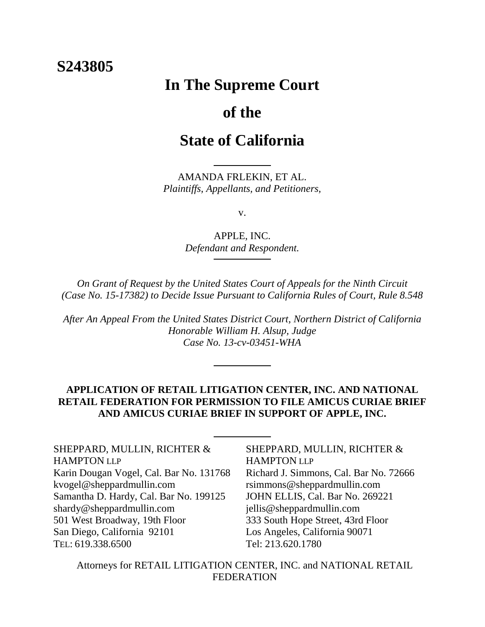# **S243805**

# **In The Supreme Court**

# **of the**

# **State of California**

AMANDA FRLEKIN, ET AL. *Plaintiffs, Appellants, and Petitioners,*

v.

APPLE, INC. *Defendant and Respondent.*

*On Grant of Request by the United States Court of Appeals for the Ninth Circuit (Case No. 15-17382) to Decide Issue Pursuant to California Rules of Court, Rule 8.548*

*After An Appeal From the United States District Court, Northern District of California Honorable William H. Alsup, Judge Case No. 13-cv-03451-WHA*

# **APPLICATION OF RETAIL LITIGATION CENTER, INC. AND NATIONAL RETAIL FEDERATION FOR PERMISSION TO FILE AMICUS CURIAE BRIEF AND AMICUS CURIAE BRIEF IN SUPPORT OF APPLE, INC.**

SHEPPARD, MULLIN, RICHTER & HAMPTON LLP Karin Dougan Vogel, Cal. Bar No. 131768 kvogel@sheppardmullin.com Samantha D. Hardy, Cal. Bar No. 199125 shardy@sheppardmullin.com 501 West Broadway, 19th Floor San Diego, California 92101 TEL: 619.338.6500

SHEPPARD, MULLIN, RICHTER & HAMPTON LLP Richard J. Simmons, Cal. Bar No. 72666 rsimmons@sheppardmullin.com JOHN ELLIS, Cal. Bar No. 269221 jellis@sheppardmullin.com 333 South Hope Street, 43rd Floor Los Angeles, California 90071 Tel: 213.620.1780

Attorneys for RETAIL LITIGATION CENTER, INC. and NATIONAL RETAIL FEDERATION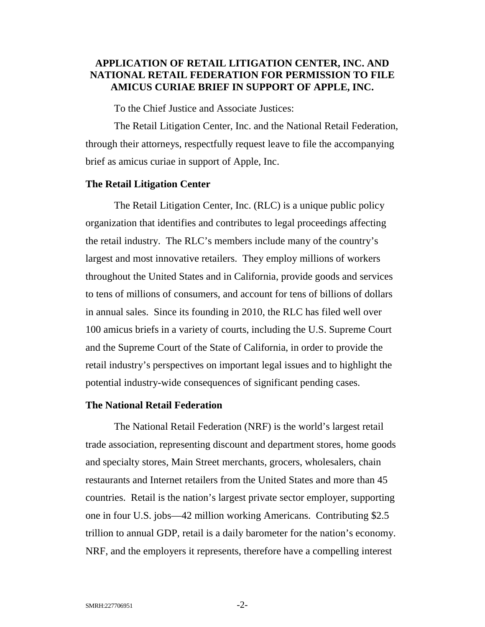# <span id="page-1-0"></span>**APPLICATION OF RETAIL LITIGATION CENTER, INC. AND NATIONAL RETAIL FEDERATION FOR PERMISSION TO FILE AMICUS CURIAE BRIEF IN SUPPORT OF APPLE, INC.**

To the Chief Justice and Associate Justices:

The Retail Litigation Center, Inc. and the National Retail Federation, through their attorneys, respectfully request leave to file the accompanying brief as amicus curiae in support of Apple, Inc.

### <span id="page-1-1"></span>**The Retail Litigation Center**

The Retail Litigation Center, Inc. (RLC) is a unique public policy organization that identifies and contributes to legal proceedings affecting the retail industry. The RLC's members include many of the country's largest and most innovative retailers. They employ millions of workers throughout the United States and in California, provide goods and services to tens of millions of consumers, and account for tens of billions of dollars in annual sales. Since its founding in 2010, the RLC has filed well over 100 amicus briefs in a variety of courts, including the U.S. Supreme Court and the Supreme Court of the State of California, in order to provide the retail industry's perspectives on important legal issues and to highlight the potential industry-wide consequences of significant pending cases.

## <span id="page-1-2"></span>**The National Retail Federation**

The National Retail Federation (NRF) is the world's largest retail trade association, representing discount and department stores, home goods and specialty stores, Main Street merchants, grocers, wholesalers, chain restaurants and Internet retailers from the United States and more than 45 countries. Retail is the nation's largest private sector employer, supporting one in four U.S. jobs—42 million working Americans. Contributing \$2.5 trillion to annual GDP, retail is a daily barometer for the nation's economy. NRF, and the employers it represents, therefore have a compelling interest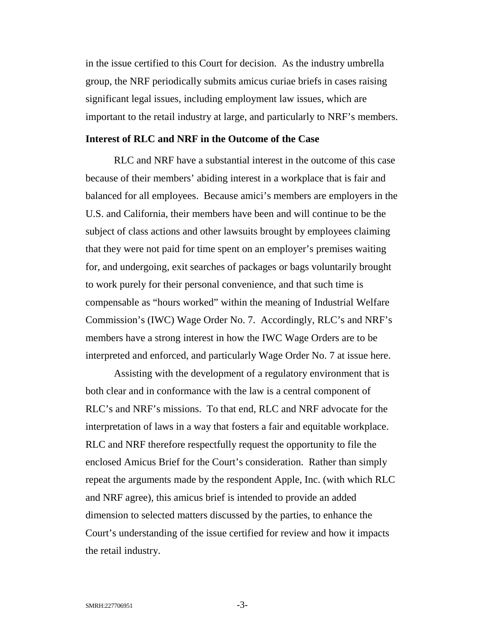in the issue certified to this Court for decision. As the industry umbrella group, the NRF periodically submits amicus curiae briefs in cases raising significant legal issues, including employment law issues, which are important to the retail industry at large, and particularly to NRF's members.

## <span id="page-2-0"></span>**Interest of RLC and NRF in the Outcome of the Case**

RLC and NRF have a substantial interest in the outcome of this case because of their members' abiding interest in a workplace that is fair and balanced for all employees. Because amici's members are employers in the U.S. and California, their members have been and will continue to be the subject of class actions and other lawsuits brought by employees claiming that they were not paid for time spent on an employer's premises waiting for, and undergoing, exit searches of packages or bags voluntarily brought to work purely for their personal convenience, and that such time is compensable as "hours worked" within the meaning of Industrial Welfare Commission's (IWC) Wage Order No. 7. Accordingly, RLC's and NRF's members have a strong interest in how the IWC Wage Orders are to be interpreted and enforced, and particularly Wage Order No. 7 at issue here.

<span id="page-2-1"></span>Assisting with the development of a regulatory environment that is both clear and in conformance with the law is a central component of RLC's and NRF's missions. To that end, RLC and NRF advocate for the interpretation of laws in a way that fosters a fair and equitable workplace. RLC and NRF therefore respectfully request the opportunity to file the enclosed Amicus Brief for the Court's consideration. Rather than simply repeat the arguments made by the respondent Apple, Inc. (with which RLC and NRF agree), this amicus brief is intended to provide an added dimension to selected matters discussed by the parties, to enhance the Court's understanding of the issue certified for review and how it impacts the retail industry.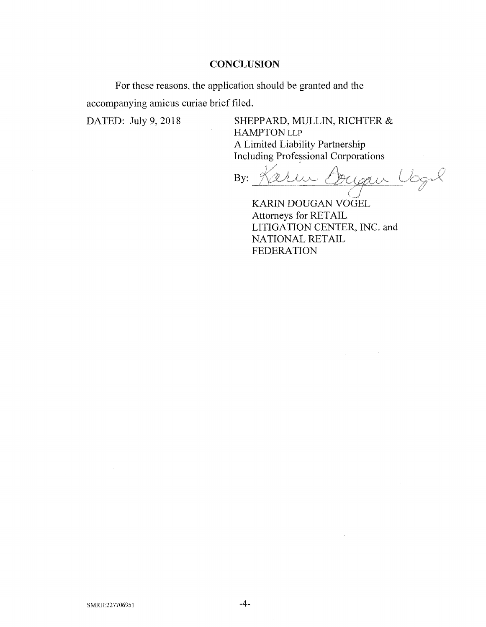## **CONCLUSION**

For these reasons, the application should be granted and the accompanying amicus curiae brief filed.

DATED: July 9, 2018 SHEPPARD, MULLIN, RICHTER & HAMPTON LLP A Limited Liability Partnership Including Professional Corporations

*A* By: Keru Cougai  $\frac{2}{\sqrt{2}}$ 

KARIN DOUGAN VOGEL Attorneys for RETAIL LITIGATION CENTER, INC. and NATIONAL RETAIL FEDERATION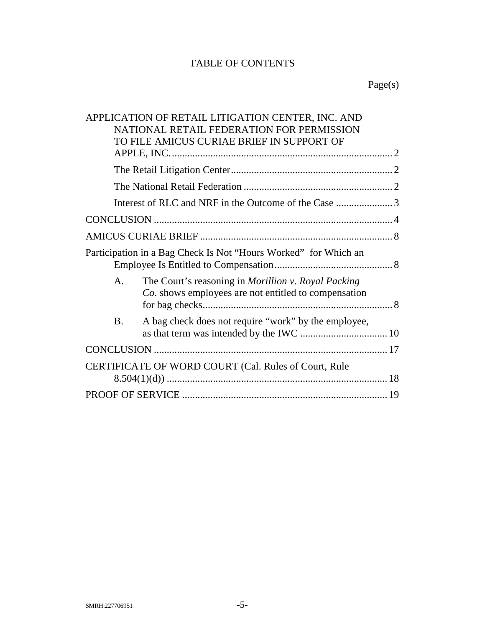# TABLE OF CONTENTS

# Page(s)

|                                                                 | APPLICATION OF RETAIL LITIGATION CENTER, INC. AND<br>NATIONAL RETAIL FEDERATION FOR PERMISSION<br>TO FILE AMICUS CURIAE BRIEF IN SUPPORT OF |  |
|-----------------------------------------------------------------|---------------------------------------------------------------------------------------------------------------------------------------------|--|
|                                                                 |                                                                                                                                             |  |
|                                                                 |                                                                                                                                             |  |
|                                                                 |                                                                                                                                             |  |
|                                                                 |                                                                                                                                             |  |
|                                                                 |                                                                                                                                             |  |
|                                                                 |                                                                                                                                             |  |
| Participation in a Bag Check Is Not "Hours Worked" for Which an |                                                                                                                                             |  |
| A.                                                              | The Court's reasoning in Morillion v. Royal Packing<br>Co. shows employees are not entitled to compensation                                 |  |
| <b>B.</b>                                                       | A bag check does not require "work" by the employee,                                                                                        |  |
|                                                                 |                                                                                                                                             |  |
| CERTIFICATE OF WORD COURT (Cal. Rules of Court, Rule            |                                                                                                                                             |  |
|                                                                 |                                                                                                                                             |  |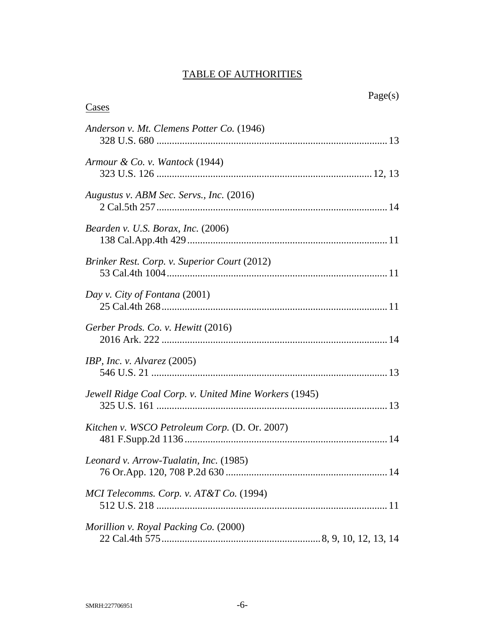# TABLE OF AUTHORITIES

| aget s<br>U. |
|--------------|
|--------------|

| Cases                                                 |
|-------------------------------------------------------|
| Anderson v. Mt. Clemens Potter Co. (1946)             |
| Armour & Co. v. Wantock (1944)                        |
| Augustus v. ABM Sec. Servs., Inc. (2016)              |
| Bearden v. U.S. Borax, Inc. (2006)                    |
| Brinker Rest. Corp. v. Superior Court (2012)          |
| Day v. City of Fontana (2001)                         |
| Gerber Prods. Co. v. Hewitt (2016)                    |
| IBP, Inc. v. Alvarez $(2005)$                         |
| Jewell Ridge Coal Corp. v. United Mine Workers (1945) |
| Kitchen v. WSCO Petroleum Corp. (D. Or. 2007)         |
| Leonard v. Arrow-Tualatin, Inc. (1985)                |
| MCI Telecomms. Corp. v. AT&T Co. (1994)               |
| Morillion v. Royal Packing Co. (2000)                 |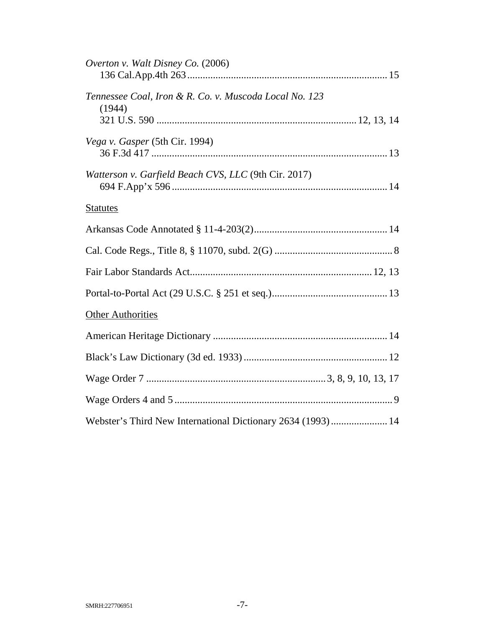| Overton v. Walt Disney Co. (2006)                                |  |
|------------------------------------------------------------------|--|
| Tennessee Coal, Iron & R. Co. v. Muscoda Local No. 123<br>(1944) |  |
|                                                                  |  |
| Vega v. Gasper (5th Cir. 1994)                                   |  |
| Watterson v. Garfield Beach CVS, LLC (9th Cir. 2017)             |  |
| <b>Statutes</b>                                                  |  |
|                                                                  |  |
|                                                                  |  |
|                                                                  |  |
|                                                                  |  |
| <b>Other Authorities</b>                                         |  |
|                                                                  |  |
|                                                                  |  |
|                                                                  |  |
|                                                                  |  |
| Webster's Third New International Dictionary 2634 (1993) 14      |  |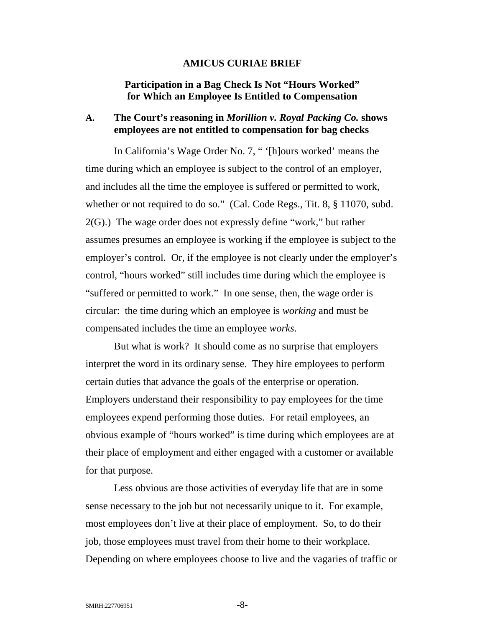### <span id="page-7-4"></span><span id="page-7-3"></span>**AMICUS CURIAE BRIEF**

## <span id="page-7-0"></span>**Participation in a Bag Check Is Not "Hours Worked" for Which an Employee Is Entitled to Compensation**

## <span id="page-7-2"></span><span id="page-7-1"></span>**A. The Court's reasoning in** *Morillion v. Royal Packing Co.* **shows employees are not entitled to compensation for bag checks**

<span id="page-7-5"></span>In California's Wage Order No. 7, " '[h]ours worked' means the time during which an employee is subject to the control of an employer, and includes all the time the employee is suffered or permitted to work, whether or not required to do so." (Cal. Code Regs., Tit. 8, § 11070, subd. 2(G).) The wage order does not expressly define "work," but rather assumes presumes an employee is working if the employee is subject to the employer's control. Or, if the employee is not clearly under the employer's control, "hours worked" still includes time during which the employee is "suffered or permitted to work." In one sense, then, the wage order is circular: the time during which an employee is *working* and must be compensated includes the time an employee *works*.

But what is work? It should come as no surprise that employers interpret the word in its ordinary sense. They hire employees to perform certain duties that advance the goals of the enterprise or operation. Employers understand their responsibility to pay employees for the time employees expend performing those duties. For retail employees, an obvious example of "hours worked" is time during which employees are at their place of employment and either engaged with a customer or available for that purpose.

Less obvious are those activities of everyday life that are in some sense necessary to the job but not necessarily unique to it. For example, most employees don't live at their place of employment. So, to do their job, those employees must travel from their home to their workplace. Depending on where employees choose to live and the vagaries of traffic or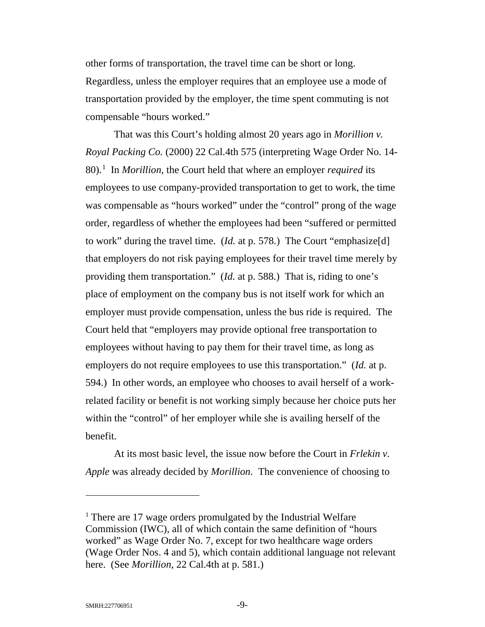other forms of transportation, the travel time can be short or long. Regardless, unless the employer requires that an employee use a mode of transportation provided by the employer, the time spent commuting is not compensable "hours worked."

<span id="page-8-0"></span>That was this Court's holding almost 20 years ago in *Morillion v. Royal Packing Co.* (2000) 22 Cal.4th 575 (interpreting Wage Order No. 14- 80). [1](#page-8-3) In *Morillion*, the Court held that where an employer *required* its employees to use company-provided transportation to get to work, the time was compensable as "hours worked" under the "control" prong of the wage order, regardless of whether the employees had been "suffered or permitted to work" during the travel time. (*Id.* at p. 578.) The Court "emphasize[d] that employers do not risk paying employees for their travel time merely by providing them transportation." (*Id.* at p. 588.) That is, riding to one's place of employment on the company bus is not itself work for which an employer must provide compensation, unless the bus ride is required. The Court held that "employers may provide optional free transportation to employees without having to pay them for their travel time, as long as employers do not require employees to use this transportation." (*Id.* at p. 594.) In other words, an employee who chooses to avail herself of a workrelated facility or benefit is not working simply because her choice puts her within the "control" of her employer while she is availing herself of the benefit.

At its most basic level, the issue now before the Court in *Frlekin v. Apple* was already decided by *Morillion*. The convenience of choosing to

<span id="page-8-3"></span><span id="page-8-2"></span><span id="page-8-1"></span><sup>&</sup>lt;sup>1</sup> There are 17 wage orders promulgated by the Industrial Welfare Commission (IWC), all of which contain the same definition of "hours worked" as Wage Order No. 7, except for two healthcare wage orders (Wage Order Nos. 4 and 5), which contain additional language not relevant here. (See *Morillion*, 22 Cal.4th at p. 581.)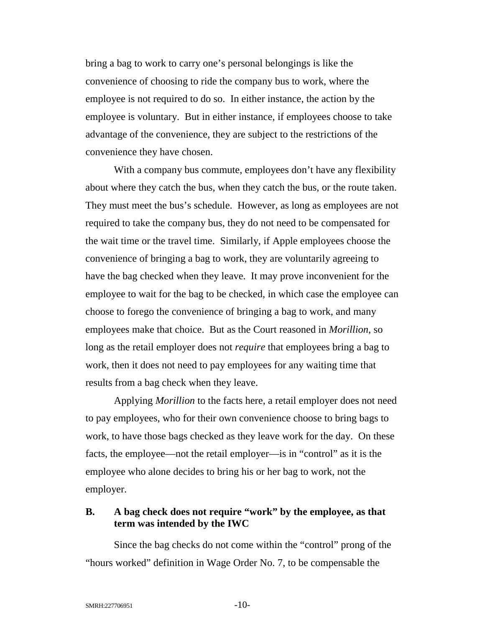bring a bag to work to carry one's personal belongings is like the convenience of choosing to ride the company bus to work, where the employee is not required to do so. In either instance, the action by the employee is voluntary. But in either instance, if employees choose to take advantage of the convenience, they are subject to the restrictions of the convenience they have chosen.

With a company bus commute, employees don't have any flexibility about where they catch the bus, when they catch the bus, or the route taken. They must meet the bus's schedule. However, as long as employees are not required to take the company bus, they do not need to be compensated for the wait time or the travel time. Similarly, if Apple employees choose the convenience of bringing a bag to work, they are voluntarily agreeing to have the bag checked when they leave. It may prove inconvenient for the employee to wait for the bag to be checked, in which case the employee can choose to forego the convenience of bringing a bag to work, and many employees make that choice. But as the Court reasoned in *Morillion*, so long as the retail employer does not *require* that employees bring a bag to work, then it does not need to pay employees for any waiting time that results from a bag check when they leave.

<span id="page-9-1"></span>Applying *Morillion* to the facts here, a retail employer does not need to pay employees, who for their own convenience choose to bring bags to work, to have those bags checked as they leave work for the day. On these facts, the employee—not the retail employer—is in "control" as it is the employee who alone decides to bring his or her bag to work, not the employer.

## <span id="page-9-0"></span>**B. A bag check does not require "work" by the employee, as that term was intended by the IWC**

<span id="page-9-2"></span>Since the bag checks do not come within the "control" prong of the "hours worked" definition in Wage Order No. 7, to be compensable the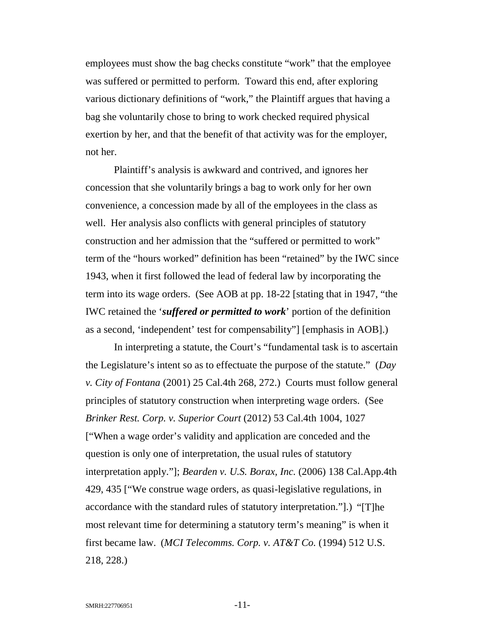employees must show the bag checks constitute "work" that the employee was suffered or permitted to perform. Toward this end, after exploring various dictionary definitions of "work," the Plaintiff argues that having a bag she voluntarily chose to bring to work checked required physical exertion by her, and that the benefit of that activity was for the employer, not her.

Plaintiff's analysis is awkward and contrived, and ignores her concession that she voluntarily brings a bag to work only for her own convenience, a concession made by all of the employees in the class as well. Her analysis also conflicts with general principles of statutory construction and her admission that the "suffered or permitted to work" term of the "hours worked" definition has been "retained" by the IWC since 1943, when it first followed the lead of federal law by incorporating the term into its wage orders. (See AOB at pp. 18-22 [stating that in 1947, "the IWC retained the '*suffered or permitted to work*' portion of the definition as a second, 'independent' test for compensability"] [emphasis in AOB].)

<span id="page-10-3"></span><span id="page-10-2"></span><span id="page-10-1"></span><span id="page-10-0"></span>In interpreting a statute, the Court's "fundamental task is to ascertain the Legislature's intent so as to effectuate the purpose of the statute." (*Day v. City of Fontana* (2001) 25 Cal.4th 268, 272.) Courts must follow general principles of statutory construction when interpreting wage orders. (See *Brinker Rest. Corp. v. Superior Court* (2012) 53 Cal.4th 1004, 1027 ["When a wage order's validity and application are conceded and the question is only one of interpretation, the usual rules of statutory interpretation apply."]; *Bearden v. U.S. Borax, Inc.* (2006) 138 Cal.App.4th 429, 435 ["We construe wage orders, as quasi-legislative regulations, in accordance with the standard rules of statutory interpretation."].) "[T]he most relevant time for determining a statutory term's meaning" is when it first became law. (*MCI Telecomms. Corp. v. AT&T Co.* (1994) 512 U.S. 218, 228.)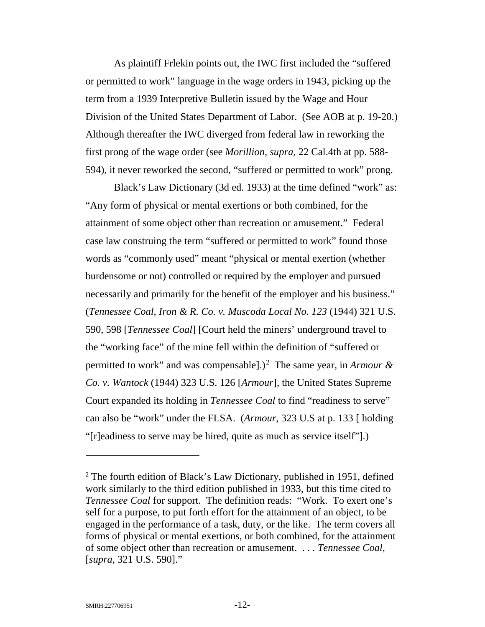As plaintiff Frlekin points out, the IWC first included the "suffered or permitted to work" language in the wage orders in 1943, picking up the term from a 1939 Interpretive Bulletin issued by the Wage and Hour Division of the United States Department of Labor. (See AOB at p. 19-20.) Although thereafter the IWC diverged from federal law in reworking the first prong of the wage order (see *Morillion, supra*, 22 Cal.4th at pp. 588- 594), it never reworked the second, "suffered or permitted to work" prong.

<span id="page-11-4"></span><span id="page-11-2"></span><span id="page-11-1"></span>Black's Law Dictionary (3d ed. 1933) at the time defined "work" as: "Any form of physical or mental exertions or both combined, for the attainment of some object other than recreation or amusement." Federal case law construing the term "suffered or permitted to work" found those words as "commonly used" meant "physical or mental exertion (whether burdensome or not) controlled or required by the employer and pursued necessarily and primarily for the benefit of the employer and his business." (*Tennessee Coal, Iron & R. Co. v. Muscoda Local No. 123* (1944) 321 U.S. 590, 598 [*Tennessee Coal*] [Court held the miners' underground travel to the "working face" of the mine fell within the definition of "suffered or permitted to work" and was compensable].)<sup>[2](#page-11-5)</sup> The same year, in *Armour & Co. v. Wantock* (1944) 323 U.S. 126 [*Armour*], the United States Supreme Court expanded its holding in *Tennessee Coal* to find "readiness to serve" can also be "work" under the FLSA. (*Armour*, 323 U.S at p. 133 [ holding "[r]eadiness to serve may be hired, quite as much as service itself"].)

<span id="page-11-5"></span><span id="page-11-3"></span><span id="page-11-0"></span><sup>&</sup>lt;sup>2</sup> The fourth edition of Black's Law Dictionary, published in 1951, defined work similarly to the third edition published in 1933, but this time cited to *Tennessee Coal* for support. The definition reads: "Work. To exert one's self for a purpose, to put forth effort for the attainment of an object, to be engaged in the performance of a task, duty, or the like. The term covers all forms of physical or mental exertions, or both combined, for the attainment of some object other than recreation or amusement. . . . *Tennessee Coal,*  [*supra*, 321 U.S. 590]."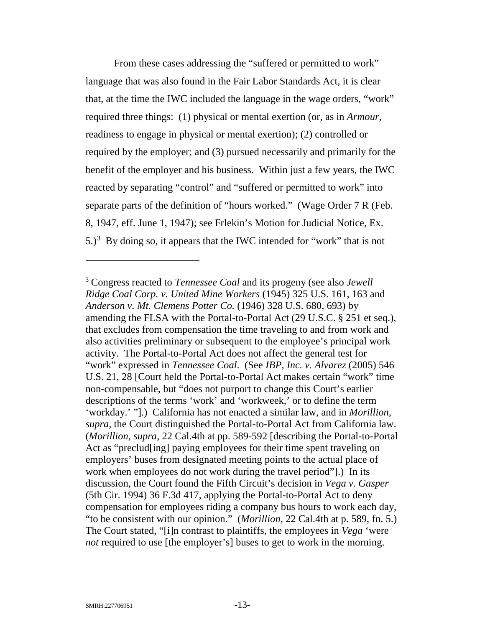<span id="page-12-7"></span><span id="page-12-1"></span>From these cases addressing the "suffered or permitted to work" language that was also found in the Fair Labor Standards Act, it is clear that, at the time the IWC included the language in the wage orders, "work" required three things: (1) physical or mental exertion (or, as in *Armour*, readiness to engage in physical or mental exertion); (2) controlled or required by the employer; and (3) pursued necessarily and primarily for the benefit of the employer and his business. Within just a few years, the IWC reacted by separating "control" and "suffered or permitted to work" into separate parts of the definition of "hours worked." (Wage Order 7 R (Feb. 8, 1947, eff. June 1, 1947); see Frlekin's Motion for Judicial Notice, Ex.  $5.$ )<sup>[3](#page-12-10)</sup> By doing so, it appears that the IWC intended for "work" that is not

<span id="page-12-10"></span><span id="page-12-9"></span><span id="page-12-8"></span><span id="page-12-6"></span><span id="page-12-5"></span><span id="page-12-4"></span><span id="page-12-3"></span><span id="page-12-2"></span><span id="page-12-0"></span><sup>3</sup> Congress reacted to *Tennessee Coal* and its progeny (see also *Jewell Ridge Coal Corp. v. United Mine Workers* (1945) 325 U.S. 161, 163 and *Anderson v. Mt. Clemens Potter Co.* (1946) 328 U.S. 680, 693) by amending the FLSA with the Portal-to-Portal Act (29 U.S.C. § 251 et seq.), that excludes from compensation the time traveling to and from work and also activities preliminary or subsequent to the employee's principal work activity. The Portal-to-Portal Act does not affect the general test for "work" expressed in *Tennessee Coal*. (See *IBP, Inc. v. Alvarez* (2005) 546 U.S. 21, 28 [Court held the Portal-to-Portal Act makes certain "work" time non-compensable, but "does not purport to change this Court's earlier descriptions of the terms 'work' and 'workweek,' or to define the term 'workday.' "].) California has not enacted a similar law, and in *Morillion, supra*, the Court distinguished the Portal-to-Portal Act from California law. (*Morillion*, *supra*, 22 Cal.4th at pp. 589-592 [describing the Portal-to-Portal Act as "preclud[ing] paying employees for their time spent traveling on employers' buses from designated meeting points to the actual place of work when employees do not work during the travel period"].) In its discussion, the Court found the Fifth Circuit's decision in *Vega v. Gasper* (5th Cir. 1994) 36 F.3d 417, applying the Portal-to-Portal Act to deny compensation for employees riding a company bus hours to work each day, "to be consistent with our opinion." (*Morillion*, 22 Cal.4th at p. 589, fn. 5.) The Court stated, "[i]n contrast to plaintiffs, the employees in *Vega* 'were *not* required to use [the employer's] buses to get to work in the morning.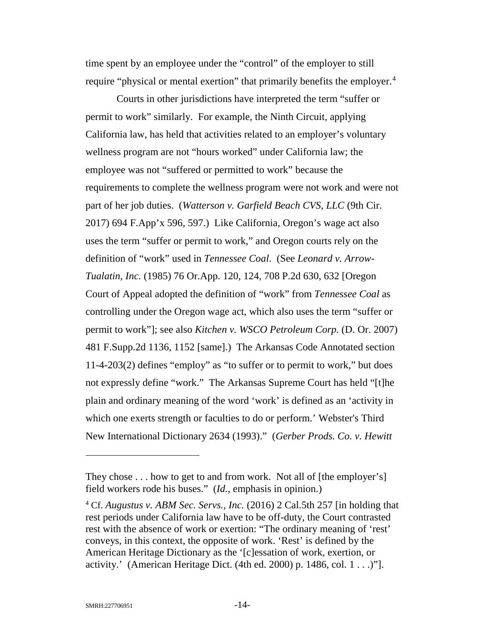time spent by an employee under the "control" of the employer to still require "physical or mental exertion" that primarily benefits the employer.<sup>[4](#page-13-10)</sup>

<span id="page-13-6"></span><span id="page-13-5"></span><span id="page-13-3"></span>Courts in other jurisdictions have interpreted the term "suffer or permit to work" similarly. For example, the Ninth Circuit, applying California law, has held that activities related to an employer's voluntary wellness program are not "hours worked" under California law; the employee was not "suffered or permitted to work" because the requirements to complete the wellness program were not work and were not part of her job duties. (*Watterson v. Garfield Beach CVS, LLC* (9th Cir. 2017) 694 F.App'x 596, 597.) Like California, Oregon's wage act also uses the term "suffer or permit to work," and Oregon courts rely on the definition of "work" used in *Tennessee Coal*. (See *Leonard v. Arrow-Tualatin, Inc.* (1985) 76 Or.App. 120, 124, 708 P.2d 630, 632 [Oregon Court of Appeal adopted the definition of "work" from *Tennessee Coal* as controlling under the Oregon wage act, which also uses the term "suffer or permit to work"]; see also *Kitchen v. WSCO Petroleum Corp.* (D. Or. 2007) 481 F.Supp.2d 1136, 1152 [same].) The Arkansas Code Annotated section 11-4-203(2) defines "employ" as "to suffer or to permit to work," but does not expressly define "work." The Arkansas Supreme Court has held "[t]he plain and ordinary meaning of the word 'work' is defined as an 'activity in which one exerts strength or faculties to do or perform.' Webster's Third New International Dictionary 2634 (1993)." (*Gerber Prods. Co. v. Hewitt*

<span id="page-13-9"></span><span id="page-13-7"></span><span id="page-13-4"></span><span id="page-13-2"></span><span id="page-13-1"></span>They chose . . . how to get to and from work. Not all of [the employer's] field workers rode his buses." (*Id.*, emphasis in opinion.)

<span id="page-13-10"></span><span id="page-13-8"></span><span id="page-13-0"></span><sup>4</sup> Cf. *Augustus v. ABM Sec. Servs., Inc.* (2016) 2 Cal.5th 257 [in holding that rest periods under California law have to be off-duty, the Court contrasted rest with the absence of work or exertion: "The ordinary meaning of 'rest' conveys, in this context, the opposite of work. 'Rest' is defined by the American Heritage Dictionary as the '[c]essation of work, exertion, or activity.' (American Heritage Dict. (4th ed. 2000) p. 1486, col.  $1 \ldots$ )"].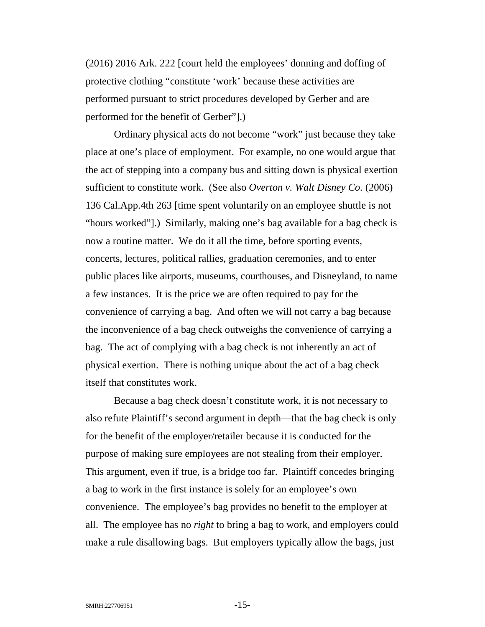(2016) 2016 Ark. 222 [court held the employees' donning and doffing of protective clothing "constitute 'work' because these activities are performed pursuant to strict procedures developed by Gerber and are performed for the benefit of Gerber"].)

<span id="page-14-0"></span>Ordinary physical acts do not become "work" just because they take place at one's place of employment. For example, no one would argue that the act of stepping into a company bus and sitting down is physical exertion sufficient to constitute work. (See also *Overton v. Walt Disney Co.* (2006) 136 Cal.App.4th 263 [time spent voluntarily on an employee shuttle is not "hours worked"].) Similarly, making one's bag available for a bag check is now a routine matter. We do it all the time, before sporting events, concerts, lectures, political rallies, graduation ceremonies, and to enter public places like airports, museums, courthouses, and Disneyland, to name a few instances. It is the price we are often required to pay for the convenience of carrying a bag. And often we will not carry a bag because the inconvenience of a bag check outweighs the convenience of carrying a bag. The act of complying with a bag check is not inherently an act of physical exertion. There is nothing unique about the act of a bag check itself that constitutes work.

Because a bag check doesn't constitute work, it is not necessary to also refute Plaintiff's second argument in depth—that the bag check is only for the benefit of the employer/retailer because it is conducted for the purpose of making sure employees are not stealing from their employer. This argument, even if true, is a bridge too far. Plaintiff concedes bringing a bag to work in the first instance is solely for an employee's own convenience. The employee's bag provides no benefit to the employer at all. The employee has no *right* to bring a bag to work, and employers could make a rule disallowing bags. But employers typically allow the bags, just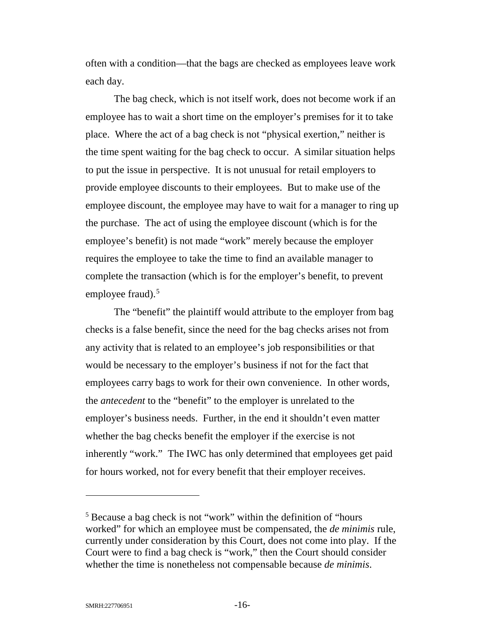often with a condition—that the bags are checked as employees leave work each day.

The bag check, which is not itself work, does not become work if an employee has to wait a short time on the employer's premises for it to take place. Where the act of a bag check is not "physical exertion," neither is the time spent waiting for the bag check to occur. A similar situation helps to put the issue in perspective. It is not unusual for retail employers to provide employee discounts to their employees. But to make use of the employee discount, the employee may have to wait for a manager to ring up the purchase. The act of using the employee discount (which is for the employee's benefit) is not made "work" merely because the employer requires the employee to take the time to find an available manager to complete the transaction (which is for the employer's benefit, to prevent employee fraud). $5$ 

The "benefit" the plaintiff would attribute to the employer from bag checks is a false benefit, since the need for the bag checks arises not from any activity that is related to an employee's job responsibilities or that would be necessary to the employer's business if not for the fact that employees carry bags to work for their own convenience. In other words, the *antecedent* to the "benefit" to the employer is unrelated to the employer's business needs. Further, in the end it shouldn't even matter whether the bag checks benefit the employer if the exercise is not inherently "work." The IWC has only determined that employees get paid for hours worked, not for every benefit that their employer receives.

<span id="page-15-0"></span><sup>5</sup> Because a bag check is not "work" within the definition of "hours worked" for which an employee must be compensated, the *de minimis* rule, currently under consideration by this Court, does not come into play. If the Court were to find a bag check is "work," then the Court should consider whether the time is nonetheless not compensable because *de minimis*.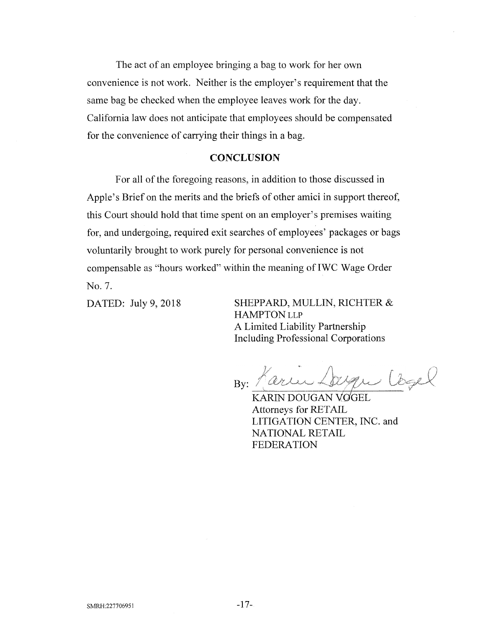The act of an employee bringing a bag to work for her own convenience is not work. Neither is the employer's requirement that the same bag be checked when the employee leaves work for the day. California law does not anticipate that employees should be compensated for the convenience of carrying their things in a bag.

### **CONCLUSION**

For all of the foregoing reasons, in addition to those discussed in Apple's Brief on the merits and the briefs of other amici in support thereof, this Court should hold that time spent on an employer's premises waiting for, and undergoing, required exit searches of employees' packages or bags voluntarily brought to work purely for personal convenience is not compensable as "hours worked" within the meaning ofIWC Wage Order No. 7.

DATED: July 9, 2018 SHEPPARD, MULLIN, RICHTER & HAMPTON LLP A Limited Liability Partnership Including Professional Corporations

Jague Cogel By: Parler

KARIN DOUGAN VOGEL Attorneys for RETAIL LITIGATION CENTER, INC. and NATIONAL RETAIL FEDERATION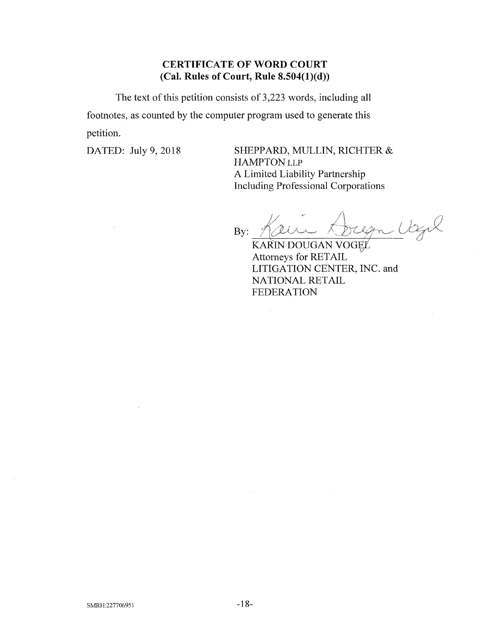# **CERTIFICATE OF WORD COURT (Cal. Rules of Court, Rule 8.504(l)(d))**

The text of this petition consists of 3,223 words, including all footnotes, as counted by the computer program used to generate this petition.

DATED: July 9, 2018 SHEPPARD, MULLIN, RICHTER & HAMPTON LLP A Limited Liability Partnership Including Professional Corporations

<u>Clagel</u> By: /jyUA-\*-

KARIN DOUGAN VOGEL Attorneys for RETAIL LITIGATION CENTER, INC. and NATIONAL RETAIL FEDERATION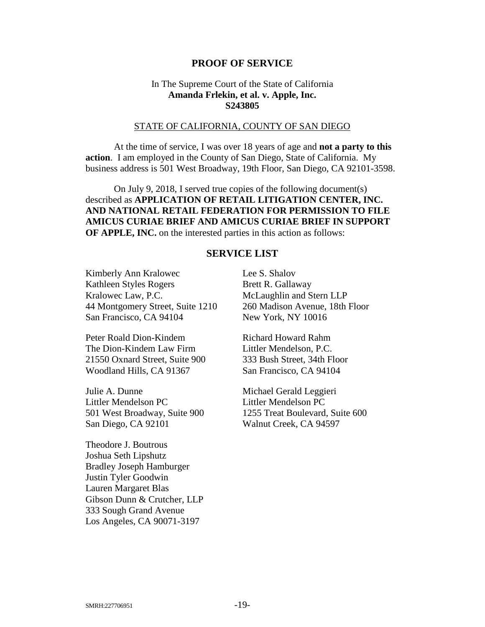### **PROOF OF SERVICE**

## <span id="page-18-0"></span>In The Supreme Court of the State of California **Amanda Frlekin, et al. v. Apple, Inc. S243805**

#### STATE OF CALIFORNIA, COUNTY OF SAN DIEGO

At the time of service, I was over 18 years of age and **not a party to this action**. I am employed in the County of San Diego, State of California. My business address is 501 West Broadway, 19th Floor, San Diego, CA 92101-3598.

On July 9, 2018, I served true copies of the following document(s) described as **APPLICATION OF RETAIL LITIGATION CENTER, INC. AND NATIONAL RETAIL FEDERATION FOR PERMISSION TO FILE AMICUS CURIAE BRIEF AND AMICUS CURIAE BRIEF IN SUPPORT OF APPLE, INC.** on the interested parties in this action as follows:

## **SERVICE LIST**

Kimberly Ann Kralowec Kathleen Styles Rogers Kralowec Law, P.C. 44 Montgomery Street, Suite 1210 San Francisco, CA 94104

Peter Roald Dion-Kindem The Dion-Kindem Law Firm 21550 Oxnard Street, Suite 900 Woodland Hills, CA 91367

Julie A. Dunne Littler Mendelson PC 501 West Broadway, Suite 900 San Diego, CA 92101

Theodore J. Boutrous Joshua Seth Lipshutz Bradley Joseph Hamburger Justin Tyler Goodwin Lauren Margaret Blas Gibson Dunn & Crutcher, LLP 333 Sough Grand Avenue Los Angeles, CA 90071-3197

Lee S. Shalov Brett R. Gallaway McLaughlin and Stern LLP 260 Madison Avenue, 18th Floor New York, NY 10016

Richard Howard Rahm Littler Mendelson, P.C. 333 Bush Street, 34th Floor San Francisco, CA 94104

Michael Gerald Leggieri Littler Mendelson PC 1255 Treat Boulevard, Suite 600 Walnut Creek, CA 94597